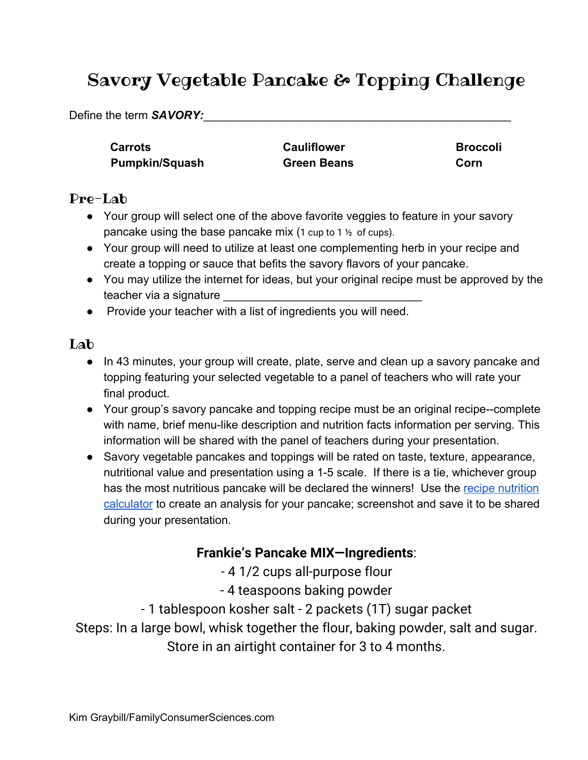# Savory Vegetable Pancake & Topping Challenge

Define the term **SAVORY:** 

**Carrots Cauliflower Broccoli Pumpkin/Squash Green Beans Corn** 

### Pre-Lab

- Your group will select one of the above favorite veggies to feature in your savory pancake using the base pancake mix (1 cup to 1  $\frac{1}{2}$  of cups).
- Your group will need to utilize at least one complementing herb in your recipe and create a topping or sauce that befits the savory flavors of your pancake.
- You may utilize the internet for ideas, but your original recipe must be approved by the teacher via a signature
- Provide your teacher with a list of ingredients you will need.

### Lab

- In 43 minutes, your group will create, plate, serve and clean up a savory pancake and topping featuring your selected vegetable to a panel of teachers who will rate your final product.
- Your group's savory pancake and topping recipe must be an original recipe--complete with name, brief menu-like description and nutrition facts information per serving. This information will be shared with the panel of teachers during your presentation.
- Savory vegetable pancakes and toppings will be rated on taste, texture, appearance, nutritional value and presentation using a 1-5 scale. If there is a tie, whichever group has the most nutritious pancake will be declared the winners! Use the [recipe nutrition](https://www.verywellfit.com/recipe-nutrition-analyzer-4157076) [calculator](https://www.verywellfit.com/recipe-nutrition-analyzer-4157076) to create an analysis for your pancake; screenshot and save it to be shared during your presentation.

#### **Frankie's Pancake MIX—Ingredients**:

- 4 1/2 cups all-purpose flour

- 4 teaspoons baking powder
- 1 tablespoon kosher salt 2 packets (1T) sugar packet

Steps: In a large bowl, whisk together the flour, baking powder, salt and sugar. Store in an airtight container for 3 to 4 months.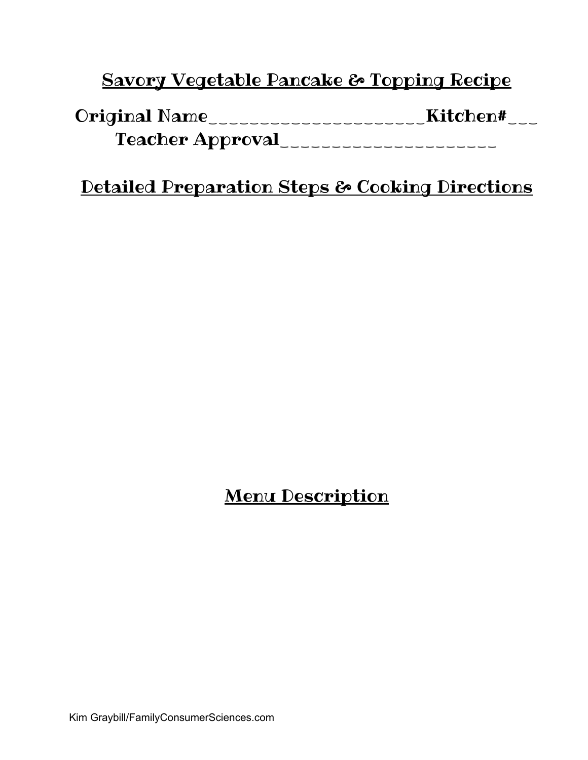### Savory Vegetable Pancake & Topping Recipe

| <b>Original Name</b>    | Kitchen# |
|-------------------------|----------|
| <b>Teacher Approval</b> |          |

### Detailed Preparation Steps & Cooking Directions

## Menu Description

Kim Graybill/FamilyConsumerSciences.com